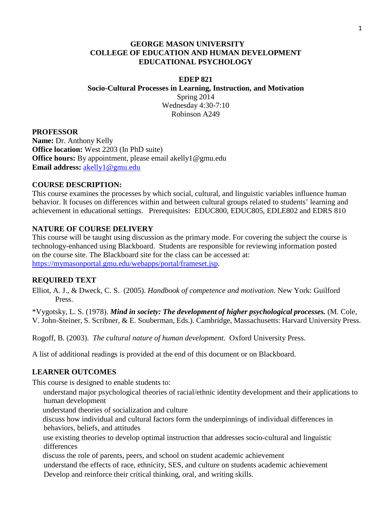# **GEORGE MASON UNIVERSITY COLLEGE OF EDUCATION AND HUMAN DEVELOPMENT EDUCATIONAL PSYCHOLOGY**

## **EDEP 821**

**Socio-Cultural Processes in Learning, Instruction, and Motivation** Spring 2014 Wednesday 4:30-7:10 Robinson A249

## **PROFESSOR**

**Name:** Dr. Anthony Kelly **Office location:** West 2203 (In PhD suite) **Office hours:** By appointment, please email akelly1@gmu.edu **Email address:** akelly1@gmu.edu

## **COURSE DESCRIPTION:**

This course examines the processes by which social, cultural, and linguistic variables influence human behavior. It focuses on differences within and between cultural groups related to students' learning and achievement in educational settings. Prerequisites: EDUC800, EDUC805, EDLE802 and EDRS 810

# **NATURE OF COURSE DELIVERY**

This course will be taught using discussion as the primary mode. For covering the subject the course is technology-enhanced using Blackboard. Students are responsible for reviewing information posted on the course site. The Blackboard site for the class can be accessed at: [https://mymasonportal.gmu.edu/webapps/portal/frameset.jsp.](https://mymasonportal.gmu.edu/webapps/portal/frameset.jsp)

## **REQUIRED TEXT**

Elliot, A. J., & Dweck, C. S. (2005). *Handbook of competence and motivation.* New York: Guilford Press.

\*Vygotsky, L. S. (1978). *Mind in society: The development of higher psychological processes.* (M. Cole, V. John-Steiner, S. Scribner, & E. Souberman, Eds.). Cambridge, Massachusetts: Harvard University Press.

Rogoff, B. (2003). *The cultural nature of human development*. Oxford University Press.

A list of additional readings is provided at the end of this document or on Blackboard.

# **LEARNER OUTCOMES**

This course is designed to enable students to:

 understand major psychological theories of racial/ethnic identity development and their applications to human development

understand theories of socialization and culture

discuss how individual and cultural factors form the underpinnings of individual differences in behaviors, beliefs, and attitudes

 use existing theories to develop optimal instruction that addresses socio-cultural and linguistic differences

discuss the role of parents, peers, and school on student academic achievement understand the effects of race, ethnicity, SES, and culture on students academic achievement Develop and reinforce their critical thinking, oral, and writing skills.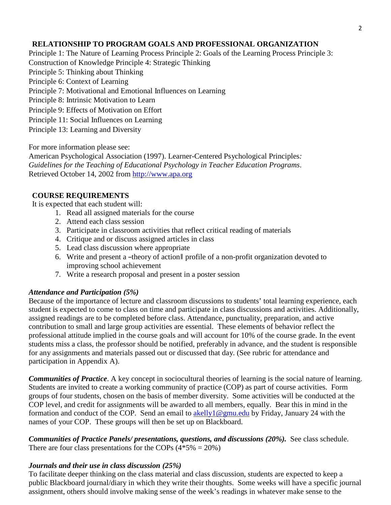# **RELATIONSHIP TO PROGRAM GOALS AND PROFESSIONAL ORGANIZATION**

Principle 1: The Nature of Learning Process Principle 2: Goals of the Learning Process Principle 3: Construction of Knowledge Principle 4: Strategic Thinking Principle 5: Thinking about Thinking Principle 6: Context of Learning Principle 7: Motivational and Emotional Influences on Learning Principle 8: Intrinsic Motivation to Learn Principle 9: Effects of Motivation on Effort Principle 11: Social Influences on Learning Principle 13: Learning and Diversity

For more information please see:

American Psychological Association (1997). Learner-Centered Psychological Principles*: Guidelines for the Teaching of Educational Psychology in Teacher Education Programs*. Retrieved October 14, 2002 from [http://www.apa.org](http://www.apa.org/)

# **COURSE REQUIREMENTS**

It is expected that each student will:

- 1. Read all assigned materials for the course
- 2. Attend each class session
- 3. Participate in classroom activities that reflect critical reading of materials
- 4. Critique and or discuss assigned articles in class
- 5. Lead class discussion where appropriate
- 6. Write and present a ―theory of action‖ profile of <sup>a</sup> non-profit organization devoted to improving school achievement
- 7. Write a research proposal and present in a poster session

# *Attendance and Participation (5%)*

Because of the importance of lecture and classroom discussions to students' total learning experience, each student is expected to come to class on time and participate in class discussions and activities. Additionally, assigned readings are to be completed before class. Attendance, punctuality, preparation, and active contribution to small and large group activities are essential. These elements of behavior reflect the professional attitude implied in the course goals and will account for 10% of the course grade. In the event students miss a class, the professor should be notified, preferably in advance, and the student is responsible for any assignments and materials passed out or discussed that day. (See rubric for attendance and participation in Appendix A).

*Communities of Practice*. A key concept in sociocultural theories of learning is the social nature of learning. Students are invited to create a working community of practice (COP) as part of course activities. Form groups of four students, chosen on the basis of member diversity. Some activities will be conducted at the COP level, and credit for assignments will be awarded to all members, equally. Bear this in mind in the formation and conduct of the COP. Send an email to akelly  $\log$  mu.edu by Friday, January 24 with the names of your COP. These groups will then be set up on Blackboard.

*Communities of Practice Panels/ presentations, questions, and discussions (20%).* See class schedule. There are four class presentations for the COPs  $(4*5\% = 20\%)$ 

# *Journals and their use in class discussion (25%)*

To facilitate deeper thinking on the class material and class discussion, students are expected to keep a public Blackboard journal/diary in which they write their thoughts. Some weeks will have a specific journal assignment, others should involve making sense of the week's readings in whatever make sense to the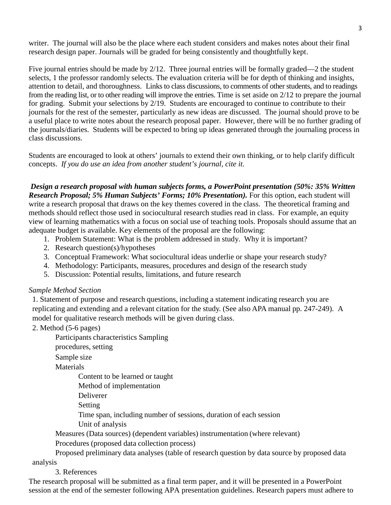writer. The journal will also be the place where each student considers and makes notes about their final research design paper. Journals will be graded for being consistently and thoughtfully kept.

Five journal entries should be made by 2/12. Three journal entries will be formally graded—2 the student selects, 1 the professor randomly selects. The evaluation criteria will be for depth of thinking and insights, attention to detail, and thoroughness. Links to class discussions, to comments of other students, and to readings from the reading list, or to other reading will improve the entries. Time is set aside on 2/12 to prepare the journal for grading. Submit your selections by 2/19. Students are encouraged to continue to contribute to their journals for the rest of the semester, particularly as new ideas are discussed. The journal should prove to be a useful place to write notes about the research proposal paper. However, there will be no further grading of the journals/diaries. Students will be expected to bring up ideas generated through the journaling process in class discussions.

Students are encouraged to look at others' journals to extend their own thinking, or to help clarify difficult concepts. *If you do use an idea from another student's journal, cite it.*

*Design a research proposal with human subjects forms, a PowerPoint presentation (50%: 35% Written Research Proposal; 5% Human Subjects' Forms; 10% Presentation).* For this option, each student will write a research proposal that draws on the key themes covered in the class. The theoretical framing and methods should reflect those used in sociocultural research studies read in class. For example, an equity view of learning mathematics with a focus on social use of teaching tools. Proposals should assume that an adequate budget is available. Key elements of the proposal are the following:

- 1. Problem Statement: What is the problem addressed in study. Why it is important?
- 2. Research question(s)/hypotheses
- 3. Conceptual Framework: What sociocultural ideas underlie or shape your research study?
- 4. Methodology: Participants, measures, procedures and design of the research study
- 5. Discussion: Potential results, limitations, and future research

# *Sample Method Section*

1. Statement of purpose and research questions, including a statement indicating research you are replicating and extending and a relevant citation for the study. (See also APA manual pp. 247-249). A model for qualitative research methods will be given during class.

2. Method (5-6 pages)

Participants characteristics Sampling

procedures, setting

Sample size

Materials

Content to be learned or taught

Method of implementation

Deliverer

Setting

Time span, including number of sessions, duration of each session

Unit of analysis

Measures (Data sources) (dependent variables) instrumentation (where relevant)

Procedures (proposed data collection process)

Proposed preliminary data analyses (table of research question by data source by proposed data analysis

3. References

The research proposal will be submitted as a final term paper, and it will be presented in a PowerPoint session at the end of the semester following APA presentation guidelines. Research papers must adhere to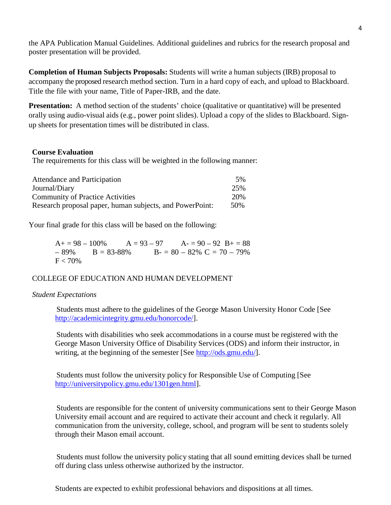the APA Publication Manual Guidelines. Additional guidelines and rubrics for the research proposal and poster presentation will be provided.

**Completion of Human Subjects Proposals:** Students will write a human subjects (IRB) proposal to accompany the proposed research method section. Turn in a hard copy of each, and upload to Blackboard. Title the file with your name, Title of Paper-IRB, and the date.

**Presentation:** A method section of the students' choice (qualitative or quantitative) will be presented orally using audio-visual aids (e.g., power point slides). Upload a copy of the slides to Blackboard. Signup sheets for presentation times will be distributed in class.

## **Course Evaluation**

The requirements for this class will be weighted in the following manner:

| Attendance and Participation                             | 5%  |
|----------------------------------------------------------|-----|
| Journal/Diary                                            | 25% |
| <b>Community of Practice Activities</b>                  | 20% |
| Research proposal paper, human subjects, and PowerPoint: | 50% |

Your final grade for this class will be based on the following:

 $A_1 = 98 - 100\%$   $A = 93 - 97$   $A_2 = 90 - 92$   $B_1 = 88$  $-89\% \qquad B = 83-88\% \qquad B = 80-82\% \text{ C} = 70-79\%$  $F < 70\%$ 

# COLLEGE OF EDUCATION AND HUMAN DEVELOPMENT

## *Student Expectations*

 Students must adhere to the guidelines of the George Mason University Honor Code [See [http://academicintegrity.gmu.edu/honorcode/\]](http://academicintegrity.gmu.edu/honorcode/).

 Students with disabilities who seek accommodations in a course must be registered with the George Mason University Office of Disability Services (ODS) and inform their instructor, in writing, at the beginning of the semester [See [http://ods.gmu.edu/\]](http://ods.gmu.edu/).

 Students must follow the university policy for Responsible Use of Computing [See [http://universitypolicy.gmu.edu/1301gen.html\]](http://universitypolicy.gmu.edu/1301gen.html).

 Students are responsible for the content of university communications sent to their George Mason University email account and are required to activate their account and check it regularly. All communication from the university, college, school, and program will be sent to students solely through their Mason email account.

 Students must follow the university policy stating that all sound emitting devices shall be turned off during class unless otherwise authorized by the instructor.

Students are expected to exhibit professional behaviors and dispositions at all times.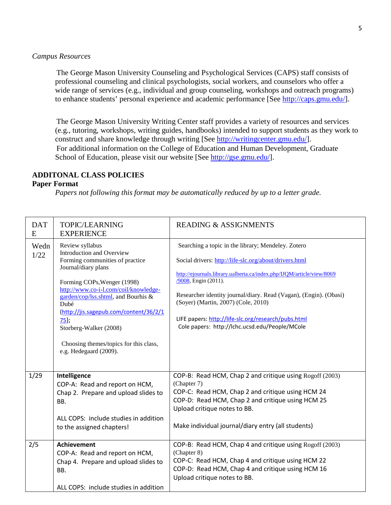#### *Campus Resources*

 The George Mason University Counseling and Psychological Services (CAPS) staff consists of professional counseling and clinical psychologists, social workers, and counselors who offer a wide range of services (e.g., individual and group counseling, workshops and outreach programs) to enhance students' personal experience and academic performance [See [http://caps.gmu.edu/\]](http://caps.gmu.edu/).

 The George Mason University Writing Center staff provides a variety of resources and services (e.g., tutoring, workshops, writing guides, handbooks) intended to support students as they work to construct and share knowledge through writing [See [http://writingcenter.gmu.edu/\]](http://writingcenter.gmu.edu/). For additional information on the College of Education and Human Development, Graduate School of Education, please visit our website [See [http://gse.gmu.edu/\]](http://gse.gmu.edu/).

## **ADDITONAL CLASS POLICIES**

## **Paper Format**

*Papers not following this format may be automatically reduced by up to a letter grade.*

| <b>DAT</b><br>E | <b>TOPIC/LEARNING</b><br><b>EXPERIENCE</b>                                                                                                                                                                                                                                                                                                                                       | <b>READING &amp; ASSIGNMENTS</b>                                                                                                                                                                                                                                                                                                                                                                                                   |
|-----------------|----------------------------------------------------------------------------------------------------------------------------------------------------------------------------------------------------------------------------------------------------------------------------------------------------------------------------------------------------------------------------------|------------------------------------------------------------------------------------------------------------------------------------------------------------------------------------------------------------------------------------------------------------------------------------------------------------------------------------------------------------------------------------------------------------------------------------|
| Wedn<br>1/22    | Review syllabus<br>Introduction and Overview<br>Forming communities of practice<br>Journal/diary plans<br>Forming COPs, Wenger (1998)<br>http://www.co-i-l.com/coil/knowledge-<br>garden/cop/lss.shtml, and Bourhis &<br>Dubé<br>(http://jis.sagepub.com/content/36/2/1<br>$75$ );<br>Storberg-Walker (2008)<br>Choosing themes/topics for this class,<br>e.g. Hedegaard (2009). | Searching a topic in the library; Mendeley. Zotero<br>Social drivers: http://life-slc.org/about/drivers.html<br>http://ejournals.library.ualberta.ca/index.php/IJQM/article/view/8069<br>/9008, Engin (2011).<br>Researcher identity journal/diary. Read (Vagan), (Engin). (Obasi)<br>(Soyer) (Martin, 2007) (Cole, 2010)<br>LIFE papers: http://life-slc.org/research/pubs.html<br>Cole papers: http://lchc.ucsd.edu/People/MCole |
| 1/29            | Intelligence<br>COP-A: Read and report on HCM,<br>Chap 2. Prepare and upload slides to<br>BB.<br>ALL COPS: include studies in addition<br>to the assigned chapters!                                                                                                                                                                                                              | COP-B: Read HCM, Chap 2 and critique using Rogoff (2003)<br>(Chapter 7)<br>COP-C: Read HCM, Chap 2 and critique using HCM 24<br>COP-D: Read HCM, Chap 2 and critique using HCM 25<br>Upload critique notes to BB.<br>Make individual journal/diary entry (all students)                                                                                                                                                            |
| 2/5             | <b>Achievement</b><br>COP-A: Read and report on HCM,<br>Chap 4. Prepare and upload slides to<br>BB.<br>ALL COPS: include studies in addition                                                                                                                                                                                                                                     | COP-B: Read HCM, Chap 4 and critique using Rogoff (2003)<br>(Chapter 8)<br>COP-C: Read HCM, Chap 4 and critique using HCM 22<br>COP-D: Read HCM, Chap 4 and critique using HCM 16<br>Upload critique notes to BB.                                                                                                                                                                                                                  |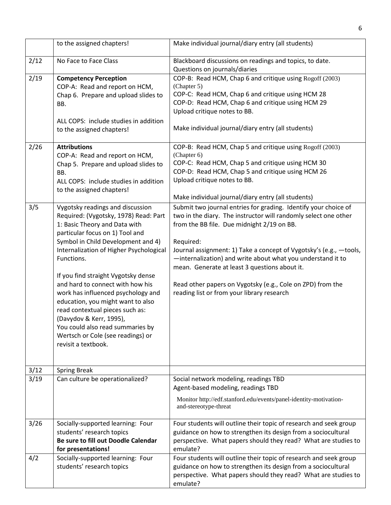|              | to the assigned chapters!                                                                                                                                                                                                                                                                                                                                                                                                                                                                                                                                        | Make individual journal/diary entry (all students)                                                                                                                                                                                                                                                                                                                                                                                                                                              |
|--------------|------------------------------------------------------------------------------------------------------------------------------------------------------------------------------------------------------------------------------------------------------------------------------------------------------------------------------------------------------------------------------------------------------------------------------------------------------------------------------------------------------------------------------------------------------------------|-------------------------------------------------------------------------------------------------------------------------------------------------------------------------------------------------------------------------------------------------------------------------------------------------------------------------------------------------------------------------------------------------------------------------------------------------------------------------------------------------|
| 2/12         | No Face to Face Class                                                                                                                                                                                                                                                                                                                                                                                                                                                                                                                                            | Blackboard discussions on readings and topics, to date.<br>Questions on journals/diaries                                                                                                                                                                                                                                                                                                                                                                                                        |
| 2/19         | <b>Competency Perception</b><br>COP-A: Read and report on HCM,<br>Chap 6. Prepare and upload slides to<br>BB.<br>ALL COPS: include studies in addition<br>to the assigned chapters!                                                                                                                                                                                                                                                                                                                                                                              | COP-B: Read HCM, Chap 6 and critique using Rogoff (2003)<br>(Chapter 5)<br>COP-C: Read HCM, Chap 6 and critique using HCM 28<br>COP-D: Read HCM, Chap 6 and critique using HCM 29<br>Upload critique notes to BB.<br>Make individual journal/diary entry (all students)                                                                                                                                                                                                                         |
| 2/26         | <b>Attributions</b><br>COP-A: Read and report on HCM,<br>Chap 5. Prepare and upload slides to<br>BB.<br>ALL COPS: include studies in addition<br>to the assigned chapters!                                                                                                                                                                                                                                                                                                                                                                                       | COP-B: Read HCM, Chap 5 and critique using Rogoff (2003)<br>(Chapter 6)<br>COP-C: Read HCM, Chap 5 and critique using HCM 30<br>COP-D: Read HCM, Chap 5 and critique using HCM 26<br>Upload critique notes to BB.<br>Make individual journal/diary entry (all students)                                                                                                                                                                                                                         |
| 3/5          | Vygotsky readings and discussion<br>Required: (Vygotsky, 1978) Read: Part<br>1: Basic Theory and Data with<br>particular focus on 1) Tool and<br>Symbol in Child Development and 4)<br>Internalization of Higher Psychological<br>Functions.<br>If you find straight Vygotsky dense<br>and hard to connect with how his<br>work has influenced psychology and<br>education, you might want to also<br>read contextual pieces such as:<br>(Davydov & Kerr, 1995),<br>You could also read summaries by<br>Wertsch or Cole (see readings) or<br>revisit a textbook. | Submit two journal entries for grading. Identify your choice of<br>two in the diary. The instructor will randomly select one other<br>from the BB file. Due midnight 2/19 on BB.<br>Required:<br>Journal assignment: 1) Take a concept of Vygotsky's (e.g., -tools,<br>-internalization) and write about what you understand it to<br>mean. Generate at least 3 questions about it.<br>Read other papers on Vygotsky (e.g., Cole on ZPD) from the<br>reading list or from your library research |
| 3/12<br>3/19 | <b>Spring Break</b><br>Can culture be operationalized?                                                                                                                                                                                                                                                                                                                                                                                                                                                                                                           | Social network modeling, readings TBD<br>Agent-based modeling, readings TBD<br>Monitor http://edf.stanford.edu/events/panel-identity-motivation-<br>and-stereotype-threat                                                                                                                                                                                                                                                                                                                       |
| 3/26         | Socially-supported learning: Four<br>students' research topics<br>Be sure to fill out Doodle Calendar<br>for presentations!                                                                                                                                                                                                                                                                                                                                                                                                                                      | Four students will outline their topic of research and seek group<br>guidance on how to strengthen its design from a sociocultural<br>perspective. What papers should they read? What are studies to<br>emulate?                                                                                                                                                                                                                                                                                |
| 4/2          | Socially-supported learning: Four<br>students' research topics                                                                                                                                                                                                                                                                                                                                                                                                                                                                                                   | Four students will outline their topic of research and seek group<br>guidance on how to strengthen its design from a sociocultural<br>perspective. What papers should they read? What are studies to<br>emulate?                                                                                                                                                                                                                                                                                |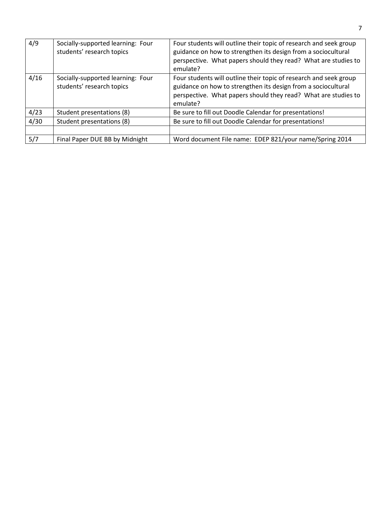| 4/9  | Socially-supported learning: Four<br>students' research topics | Four students will outline their topic of research and seek group<br>guidance on how to strengthen its design from a sociocultural<br>perspective. What papers should they read? What are studies to<br>emulate? |
|------|----------------------------------------------------------------|------------------------------------------------------------------------------------------------------------------------------------------------------------------------------------------------------------------|
| 4/16 | Socially-supported learning: Four<br>students' research topics | Four students will outline their topic of research and seek group<br>guidance on how to strengthen its design from a sociocultural<br>perspective. What papers should they read? What are studies to<br>emulate? |
| 4/23 | Student presentations (8)                                      | Be sure to fill out Doodle Calendar for presentations!                                                                                                                                                           |
| 4/30 | Student presentations (8)                                      | Be sure to fill out Doodle Calendar for presentations!                                                                                                                                                           |
|      |                                                                |                                                                                                                                                                                                                  |
| 5/7  | Final Paper DUE BB by Midnight                                 | Word document File name: EDEP 821/your name/Spring 2014                                                                                                                                                          |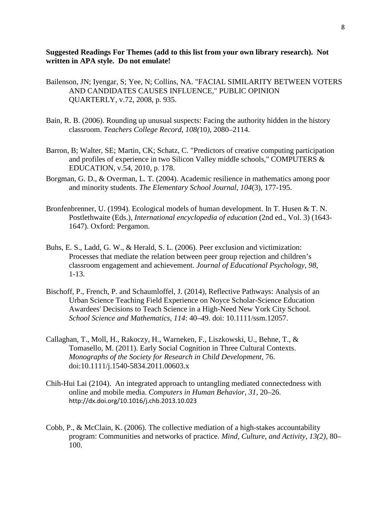**Suggested Readings For Themes (add to this list from your own library research). Not written in APA style. Do not emulate!**

- Bailenson, JN; Iyengar, S; Yee, N; Collins, NA. "FACIAL SIMILARITY BETWEEN VOTERS AND CANDIDATES CAUSES INFLUENCE," PUBLIC OPINION QUARTERLY, v.72, 2008, p. 935.
- Bain, R. B. (2006). Rounding up unusual suspects: Facing the authority hidden in the history classroom. *Teachers College Record, 108(*10*)*, 2080–2114.
- Barron, B; Walter, SE; Martin, CK; Schatz, C. "Predictors of creative computing participation and profiles of experience in two Silicon Valley middle schools," COMPUTERS & EDUCATION, v.54, 2010, p. 178.
- Borgman, G. D., & Overman, L. T. (2004). Academic resilience in mathematics among poor and minority students. *The Elementary School Journal, 104*(3), 177-195.
- Bronfenbrenner, U. (1994). Ecological models of human development. In T. Husen & T. N. Postlethwaite (Eds.), *International encyclopedia of education* (2nd ed., Vol. 3) (1643- 1647). Oxford: Pergamon.
- Buhs, E. S., Ladd, G. W., & Herald, S. L. (2006). Peer exclusion and victimization: Processes that mediate the relation between peer group rejection and children's classroom engagement and achievement. *Journal of Educational Psychology, 98,*  1-13.
- Bischoff, P., French, P. and Schaumloffel, J. (2014), Reflective Pathways: Analysis of an Urban Science Teaching Field Experience on Noyce Scholar-Science Education Awardees' Decisions to Teach Science in a High-Need New York City School. *School Science and Mathematics*, *114*: 40–49. doi: 10.1111/ssm.12057.
- Callaghan, T., Moll, H., Rakoczy, H., Warneken, F., Liszkowski, U., Behne, T., & Tomasello, M. (2011). Early Social Cognition in Three Cultural Contexts. *Monographs of the Society for Research in Child Development*, 76. doi:10.1111/j.1540-5834.2011.00603.x
- Chih-Hui Lai (2104). An integrated approach to untangling mediated connectedness with online and mobile media. *Computers in Human Behavior*, *31*, 20–26. <http://dx.doi.org/10.1016/j.chb.2013.10.023>
- Cobb, P., & McClain, K. (2006). The collective mediation of a high-stakes accountability program: Communities and networks of practice. *Mind, Culture, and Activity, 13(2),* 80– 100.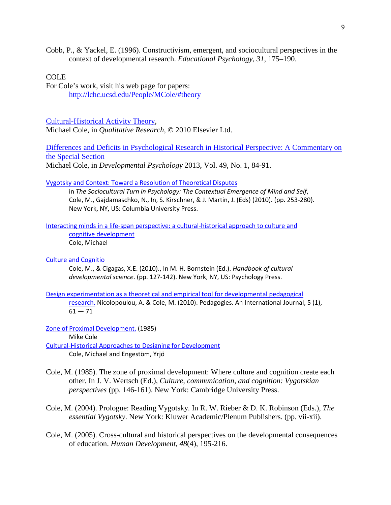Cobb, P., & Yackel, E. (1996). Constructivism, emergent, and sociocultural perspectives in the context of developmental research. *Educational Psychology, 31*, 175–190.

# COLE

For Cole's work, visit his web page for papers: <http://lchc.ucsd.edu/People/MCole/#theory>

[Cultural-Historical Activity Theory,](http://lchc.ucsd.edu/People/MCole/CHAT-Paper_2010.pdf)

Michael Cole, in *Qualitative Research*, © 2010 Elsevier Ltd.

[Differences and Deficits in Psychological Research in Historical Perspective: A Commentary on](http://lchc.ucsd.edu/People/MCole/DifferenceDeficitPsychResearch.pdf)  [the Special Section](http://lchc.ucsd.edu/People/MCole/DifferenceDeficitPsychResearch.pdf) Michael Cole, in *Developmental Psychology* 2013, Vol. 49, No. 1, 84-91.

#### [Vygotsky and Context: Toward a Resolution of Theoretical Disputes](http://lchc.ucsd.edu/People/MCole/LSV_n_Context.pdf)

in *The Sociocultural Turn in Psychology: The Contextual Emergence of Mind and Self*, Cole, M., Gajdamaschko, N., In, S. Kirschner, & J. Martin, J. (Eds) (2010). (pp. 253-280). New York, NY, US: Columbia University Press.

#### [Interacting minds in a life-span perspective: a cultural-historical approach to culture and](http://lchc.ucsd.edu/People/MCole/InteractiveMinds0001.pdf)  [cognitive development](http://lchc.ucsd.edu/People/MCole/InteractiveMinds0001.pdf) Cole, Michael

# [Culture and Cognitio](http://lchc.ucsd.edu/People/MCole/Cognition.pdf)

Cole, M., & Cigagas, X.E. (2010)., In M. H. Bornstein (Ed.). *Handbook of cultural developmental science*. (pp. 127-142). New York, NY, US: Psychology Press.

[Design experimentation as a theoretical and empirical tool for developmental pedagogical](http://lchc.ucsd.edu/People/MCole/Designexpertheor.pdf)  [research.](http://lchc.ucsd.edu/People/MCole/Designexpertheor.pdf) Nicolopoulou, A. & Cole, M. (2010). Pedagogies. An International Journal, 5 (1),  $61 - 71$ 

[Zone of Proximal Development.](http://lchc.ucsd.edu/People/MCole/Zone%20of%20Proximal%20Development0001.pdf) (1985)

Mike Cole

[Cultural-Historical Approaches to Designing for Development](http://lchc.ucsd.edu/People/MCole/Cole-Engestrom_Cult-Hist_Approach.pdf) Cole, Michael and Engestöm, Yrjö

- Cole, M. (1985). The zone of proximal development: Where culture and cognition create each other. In J. V. Wertsch (Ed.), *Culture, communication, and cognition: Vygotskian perspectives* (pp. 146-161). New York: Cambridge University Press.
- Cole, M. (2004). Prologue: Reading Vygotsky. In R. W. Rieber & D. K. Robinson (Eds.), *The essential Vygotsky*. New York: Kluwer Academic/Plenum Publishers. (pp. vii-xii).
- Cole, M. (2005). Cross-cultural and historical perspectives on the developmental consequences of education. *Human Development*, *48*(4), 195-216.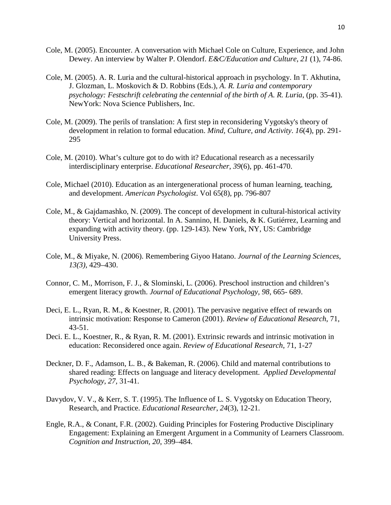- Cole, M. (2005). Encounter. A conversation with Michael Cole on Culture, Experience, and John Dewey. An interview by Walter P. Olendorf. *E&C/Education and Culture*, *21* (1), 74-86.
- Cole, M. (2005). A. R. Luria and the cultural-historical approach in psychology. In T. Akhutina, J. Glozman, L. Moskovich & D. Robbins (Eds.), *A. R. Luria and contemporary psychology: Festschrift celebrating the centennial of the birth of A. R. Luria*, (pp. 35-41). NewYork: Nova Science Publishers, Inc.
- Cole, M. (2009). The perils of translation: A first step in reconsidering Vygotsky's theory of development in relation to formal education. *Mind, Culture, and Activity*. *16*(4), pp. 291- 295
- Cole, M. (2010). What's culture got to do with it? Educational research as a necessarily interdisciplinary enterprise. *Educational Researcher*, *39*(6), pp. 461-470.
- Cole, Michael (2010). Education as an intergenerational process of human learning, teaching, and development. *American Psychologist*. Vol 65(8), pp. 796-807
- Cole, M., & Gajdamashko, N. (2009). The concept of development in cultural-historical activity theory: Vertical and horizontal. In A. Sannino, H. Daniels, & K. Gutiérrez, Learning and expanding with activity theory. (pp. 129-143). New York, NY, US: Cambridge University Press.
- Cole, M., & Miyake, N. (2006). Remembering Giyoo Hatano. *Journal of the Learning Sciences, 13(3)*, 429–430.
- Connor, C. M., Morrison, F. J., & Slominski, L. (2006). Preschool instruction and children's emergent literacy growth. *Journal of Educational Psychology, 98,* 665- 689.
- Deci, E. L., Ryan, R. M., & Koestner, R. (2001). The pervasive negative effect of rewards on intrinsic motivation: Response to Cameron (2001). *Review of Educational Research*, 71, 43-51.
- Deci. E. L., Koestner, R., & Ryan, R. M. (2001). Extrinsic rewards and intrinsic motivation in education: Reconsidered once again. *Review of Educational Research*, 71, 1-27
- Deckner, D. F., Adamson, L. B., & Bakeman, R. (2006). Child and maternal contributions to shared reading: Effects on language and literacy development. *Applied Developmental Psychology, 27,* 31-41.
- Davydov, V. V., & Kerr, S. T. (1995). The Influence of L. S. Vygotsky on Education Theory, Research, and Practice. *Educational Researcher*, *24*(3), 12-21.
- Engle, R.A., & Conant, F.R. (2002). Guiding Principles for Fostering Productive Disciplinary Engagement: Explaining an Emergent Argument in a Community of Learners Classroom. *Cognition and Instruction, 20*, 399–484.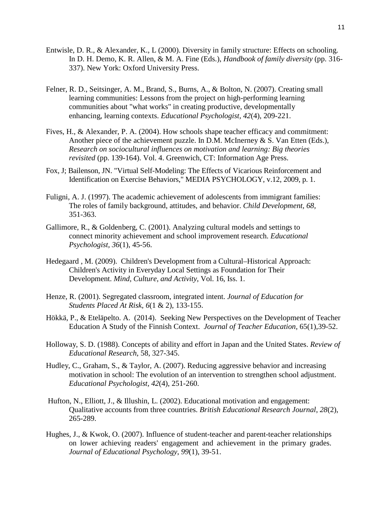- Entwisle, D. R., & Alexander, K., L (2000). Diversity in family structure: Effects on schooling. In D. H. Demo, K. R. Allen, & M. A. Fine (Eds.), *Handbook of family diversity* (pp. 316- 337). New York: Oxford University Press.
- Felner, R. D., Seitsinger, A. M., Brand, S., Burns, A., & Bolton, N. (2007). Creating small learning communities: Lessons from the project on high-performing learning communities about "what works" in creating productive, developmentally enhancing, learning contexts. *Educational Psychologist, 42*(4), 209-221.
- Fives, H., & Alexander, P. A. (2004). How schools shape teacher efficacy and commitment: Another piece of the achievement puzzle. In D.M. McInerney & S. Van Etten (Eds.), *Research on sociocultural influences on motivation and learning: Big theories revisited* (pp. 139-164). Vol. 4. Greenwich, CT: Information Age Press.
- Fox, J; Bailenson, JN. "Virtual Self-Modeling: The Effects of Vicarious Reinforcement and Identification on Exercise Behaviors," MEDIA PSYCHOLOGY, v.12, 2009, p. 1.
- Fuligni, A. J. (1997). The academic achievement of adolescents from immigrant families: The roles of family background, attitudes, and behavior. *Child Development, 68,*  351-363.
- Gallimore, R., & Goldenberg, C. (2001). Analyzing cultural models and settings to connect minority achievement and school improvement research. *Educational Psychologist, 36*(1), 45-56.
- Hedegaard , M. (2009). [Children's Development from a Cultural–Historical Approach:](http://www.tandfonline.com.mutex.gmu.edu/doi/abs/10.1080/10749030802477374)  [Children's Activity in Everyday Local Settings as Foundation for Their](http://www.tandfonline.com.mutex.gmu.edu/doi/abs/10.1080/10749030802477374)  [Development.](http://www.tandfonline.com.mutex.gmu.edu/doi/abs/10.1080/10749030802477374) *[Mind, Culture, and Activity](http://www.tandfonline.com.mutex.gmu.edu/toc/hmca20/16/1)*, Vol. 16, Iss. 1.
- Henze, R. (2001). Segregated classroom, integrated intent. *Journal of Education for Students Placed At Risk, 6*(1 & 2), 133-155.
- Hökkä, P., & Eteläpelto. A. (2014). [Seeking New Perspectives on the Development of Teacher](http://jte.sagepub.com/content/65/1/39.short)  [Education A Study of the Finnish Context.](http://jte.sagepub.com/content/65/1/39.short) *Journal of Teacher Education,* 65(1),39-52.
- Holloway, S. D. (1988). Concepts of ability and effort in Japan and the United States. *Review of Educational Research*, 58, 327-345.
- Hudley, C., Graham, S., & Taylor, A. (2007). Reducing aggressive behavior and increasing motivation in school: The evolution of an intervention to strengthen school adjustment. *Educational Psychologist, 42*(4), 251-260.
- Hufton, N., Elliott, J., & Illushin, L. (2002). Educational motivation and engagement: Qualitative accounts from three countries. *British Educational Research Journal*, *28*(2), 265-289.
- Hughes, J., & Kwok, O. (2007). Influence of student-teacher and parent-teacher relationships on lower achieving readers' engagement and achievement in the primary grades. *Journal of Educational Psychology*, *99*(1), 39-51.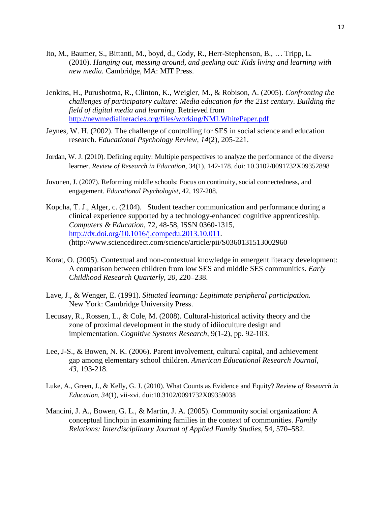- Ito, M., Baumer, S., Bittanti, M., boyd, d., Cody, R., Herr-Stephenson, B., … Tripp, L. (2010). *Hanging out, messing around, and geeking out: Kids living and learning with new media.* Cambridge, MA: MIT Press.
- Jenkins, H., Purushotma, R., Clinton, K., Weigler, M., & Robison, A. (2005). *Confronting the challenges of participatory culture: Media education for the 21st century. Building the field of digital media and learning.* Retrieved from <http://newmedialiteracies.org/files/working/NMLWhitePaper.pdf>
- Jeynes, W. H. (2002). The challenge of controlling for SES in social science and education research. *Educational Psychology Review, 14*(2), 205-221.
- Jordan, W. J. (2010). Defining equity: Multiple perspectives to analyze the performance of the diverse learner. *Review of Research in Education*, 34(1), 142-178. doi: 10.3102/0091732X09352898
- Juvonen, J. (2007). Reforming middle schools: Focus on continuity, social connectedness, and engagement. *Educational Psychologist*, 42, 197-208.
- Kopcha, T. J., Alger, c. (2104). Student teacher communication and performance during a clinical experience supported by a technology-enhanced cognitive apprenticeship. *Computers & Education*, 72, 48-58, ISSN 0360-1315, [http://dx.doi.org/10.1016/j.compedu.2013.10.011.](http://dx.doi.org/10.1016/j.compedu.2013.10.011) (http://www.sciencedirect.com/science/article/pii/S0360131513002960
- Korat, O. (2005). Contextual and non-contextual knowledge in emergent literacy development: A comparison between children from low SES and middle SES communities. *Early Childhood Research Quarterly, 20,* 220–238.
- Lave, J., & Wenger, E. (1991). *Situated learning: Legitimate peripheral participation.* New York: Cambridge University Press.
- Lecusay, R., Rossen, L., & Cole, M. (2008). Cultural-historical activity theory and the zone of proximal development in the study of idiioculture design and implementation. *Cognitive Systems Research*, 9(1-2), pp. 92-103.
- Lee, J-S., & Bowen, N. K. (2006). Parent involvement, cultural capital, and achievement gap among elementary school children. *American Educational Research Journal, 43,* 193-218.
- Luke, A., Green, J., & Kelly, G. J. (2010). What Counts as Evidence and Equity? *Review of Research in Education, 34*(1), vii-xvi. doi:10.3102/0091732X09359038
- Mancini, J. A., Bowen, G. L., & Martin, J. A. (2005). Community social organization: A conceptual linchpin in examining families in the context of communities. *Family Relations: Interdisciplinary Journal of Applied Family Studies*, 54, 570–582.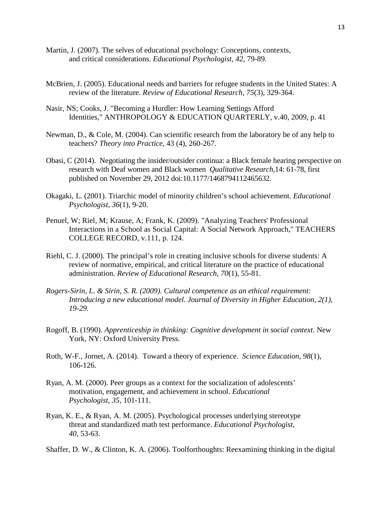- Martin, J. (2007). The selves of educational psychology: Conceptions, contexts, and critical considerations. *Educational Psychologist, 42,* 79-89.
- McBrien, J. (2005). Educational needs and barriers for refugee students in the United States: A review of the literature. *Review of Educational Research*, *75*(3), 329-364.
- Nasir, NS; Cooks, J. "Becoming a Hurdler: How Learning Settings Afford Identities," ANTHROPOLOGY & EDUCATION QUARTERLY, v.40, 2009, p. 41
- Newman, D., & Cole, M. (2004). Can scientific research from the laboratory be of any help to teachers? *Theory into Practice*, 43 (4), 260-267.
- Obasi, C (2014). Negotiating the insider/outsider continua: a Black female hearing perspective on research with Deaf women and Black women *Qualitative Research*,14: 61-78, first published on November 29, 2012 doi:10.1177/1468794112465632.
- Okagaki, L. (2001). Triarchic model of minority children's school achievement. *Educational Psychologist, 36*(1), 9-20.
- Penuel, W; Riel, M; Krause, A; Frank, K. (2009). "Analyzing Teachers' Professional Interactions in a School as Social Capital: A Social Network Approach," TEACHERS COLLEGE RECORD, v.111, p. 124.
- Riehl, C. J. (2000). The principal's role in creating inclusive schools for diverse students: A review of normative, empirical, and critical literature on the practice of educational administration. *Review of Educational Research, 70*(1), 55-81.
- *Rogers-Sirin, L. & Sirin, S. R. (2009). Cultural competence as an ethical requirement: Introducing a new educational model. Journal of Diversity in Higher Education, 2(1), 19-29.*
- Rogoff, B. (1990). *Apprenticeship in thinking: Cognitive development in social context*. New York, NY: Oxford University Press.
- Roth, W-F., Jornet, A. (2014). Toward a theory of experience. *Science Education, 98*(1), 106-126.
- Ryan, A. M. (2000). Peer groups as a context for the socialization of adolescents' motivation, engagement, and achievement in school. *Educational Psychologist, 35,* 101-111.
- Ryan, K. E., & Ryan, A. M. (2005). Psychological processes underlying stereotype threat and standardized math test performance. *Educational Psychologist, 40,* 53-63.

Shaffer, D. W., & Clinton, K. A. (2006). Toolforthoughts: Reexamining thinking in the digital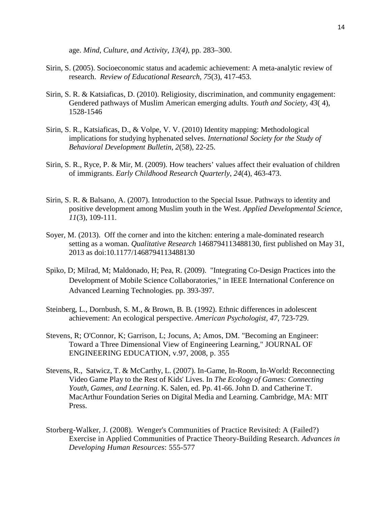age. *Mind, Culture, and Activity, 13(4)*, pp. 283–300.

- Sirin, S. (2005). Socioeconomic status and academic achievement: A meta-analytic review of research. *Review of Educational Research*, *75*(3), 417-453.
- Sirin, S. R. & Katsiaficas, D. (2010). Religiosity, discrimination, and community engagement: Gendered pathways of Muslim American emerging adults. *Youth and Society*, *43*( 4), 1528-1546
- Sirin, S. R., Katsiaficas, D., & Volpe, V. V. (2010) Identity mapping: Methodological implications for studying hyphenated selves. *International Society for the Study of Behavioral Development Bulletin*, *2*(58), 22-25.
- Sirin, S. R., Ryce, P. & Mir, M. (2009). How teachers' values affect their evaluation of children of immigrants. *Early Childhood Research Quarterly*, *24*(4), 463-473.
- Sirin, S. R. & Balsano, A. (2007). Introduction to the Special Issue. Pathways to identity and positive development among Muslim youth in the West. *Applied Developmental Science*, *11*(3), 109-111.
- Soyer, M. (2013). Off the corner and into the kitchen: entering a male-dominated research setting as a woman. *Qualitative Research* 1468794113488130, first published on May 31, 2013 as doi:10.1177/1468794113488130
- Spiko, D; Milrad, M; Maldonado, H; Pea, R. (2009). "Integrating Co-Design Practices into the Development of Mobile Science Collaboratories," in IEEE International Conference on Advanced Learning Technologies. pp. 393-397.
- Steinberg, L., Dornbush, S. M., & Brown, B. B. (1992). Ethnic differences in adolescent achievement: An ecological perspective. *American Psychologist, 47,* 723-729.
- Stevens, R; O'Connor, K; Garrison, L; Jocuns, A; Amos, DM. "Becoming an Engineer: Toward a Three Dimensional View of Engineering Learning," JOURNAL OF ENGINEERING EDUCATION, v.97, 2008, p. 355
- Stevens, R., Satwicz, T. & McCarthy, L. (2007). In-Game, In-Room, In-World: Reconnecting Video Game Play to the Rest of Kids' Lives. In *The Ecology of Games: Connecting Youth, Games, and Learning*. K. Salen, ed. Pp. 41-66. John D. and Catherine T. MacArthur Foundation Series on Digital Media and Learning. Cambridge, MA: MIT Press.
- [Storberg-Walker,](http://adh.sagepub.com/search?author1=Julia+Storberg-Walker&sortspec=date&submit=Submit) J. (2008). Wenger's Communities of Practice Revisited: A (Failed?) Exercise in Applied Communities of Practice Theory-Building Research. *Advances in Developing Human Resources*: 555-577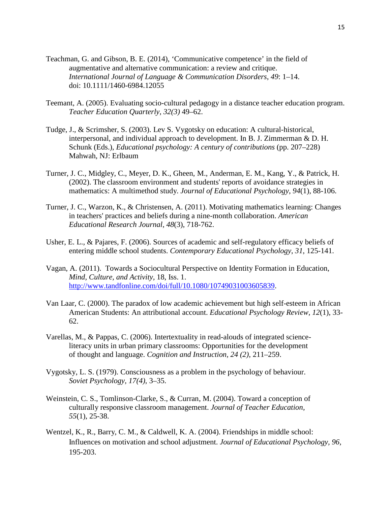- Teachman, G. and Gibson, B. E. (2014), 'Communicative competence' in the field of augmentative and alternative communication: a review and critique. *International Journal of Language & Communication Disorders*, *49*: 1–14. doi: 10.1111/1460-6984.12055
- Teemant, A. (2005). Evaluating socio-cultural pedagogy in a distance teacher education program. *Teacher Education Quarterly, 32(3)* 49–62.
- Tudge, J., & Scrimsher, S. (2003). Lev S. Vygotsky on education: A cultural-historical, interpersonal, and individual approach to development. In B. J. Zimmerman & D. H. Schunk (Eds.), *Educational psychology: A century of contributions* (pp. 207–228) Mahwah, NJ: Erlbaum
- Turner, J. C., Midgley, C., Meyer, D. K., Gheen, M., Anderman, E. M., Kang, Y., & Patrick, H. (2002). The classroom environment and students' reports of avoidance strategies in mathematics: A multimethod study. *Journal of Educational Psychology*, *94*(1), 88-106.
- Turner, J. C., Warzon, K., & Christensen, A. (2011). Motivating mathematics learning: Changes in teachers' practices and beliefs during a nine-month collaboration. *American Educational Research Journal*, *48*(3), 718-762.
- Usher, E. L., & Pajares, F. (2006). Sources of academic and self-regulatory efficacy beliefs of entering middle school students. *Contemporary Educational Psychology*, *31*, 125-141.
- Vagan, A. (2011). Towards a Sociocultural Perspective on Identity Formation in Education, *Mind, Culture, and Activity,* 18, Iss. 1. [http://www.tandfonline.com/doi/full/10.1080/10749031003605839.](http://www.tandfonline.com/doi/full/10.1080/10749031003605839)
- Van Laar, C. (2000). The paradox of low academic achievement but high self-esteem in African American Students: An attributional account. *Educational Psychology Review, 12*(1), 33- 62.
- Varellas, M., & Pappas, C. (2006). Intertextuality in read-alouds of integrated scienceliteracy units in urban primary classrooms: Opportunities for the development of thought and language. *Cognition and Instruction, 24 (2)*, 211–259.
- Vygotsky, L. S. (1979). Consciousness as a problem in the psychology of behaviour. *Soviet Psychology, 17(4)*, 3–35.
- Weinstein, C. S., Tomlinson-Clarke, S., & Curran, M. (2004). Toward a conception of culturally responsive classroom management. *Journal of Teacher Education, 55*(1), 25-38.
- Wentzel, K., R., Barry, C. M., & Caldwell, K. A. (2004). Friendships in middle school: Influences on motivation and school adjustment. *Journal of Educational Psychology, 96,* 195-203.